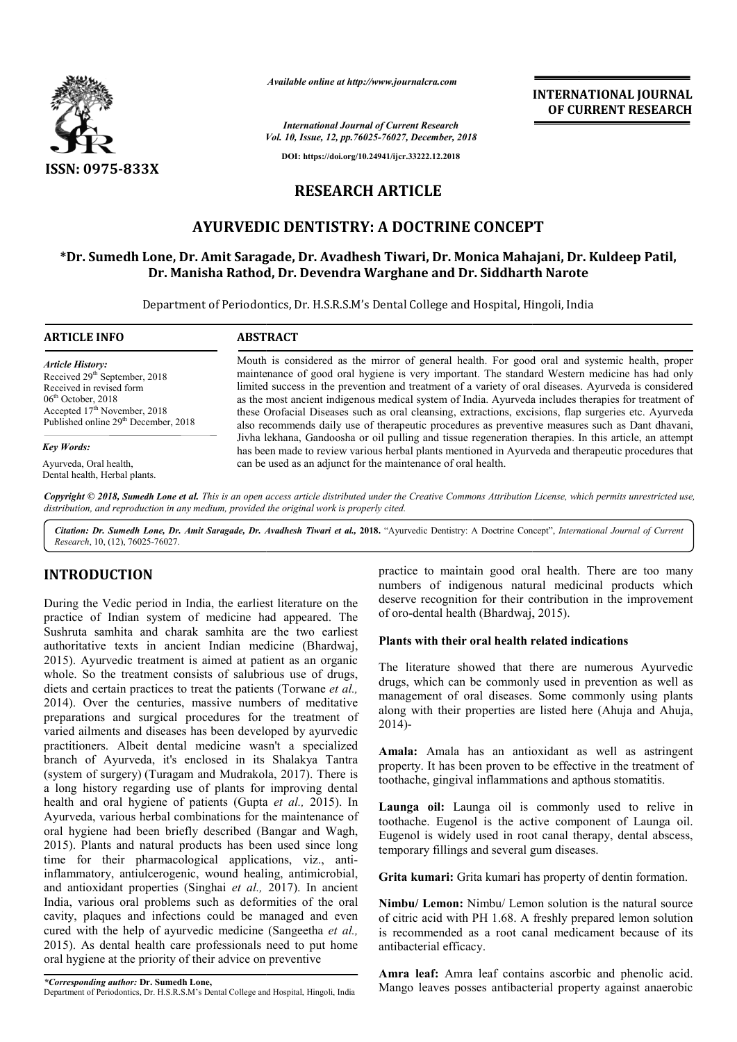

*Available online at http://www.journalcra.com*

*Vol. 10, Issue, 12, pp.76025-76027, December, 2018 International Journal of Current Research*

 **INTERNATIONAL JOURNAL OF CURRENT RESEARCH**

**DOI: https://doi.org/10.24941/ijcr.33222.12.2018**

# **RESEARCH ARTICLE**

# **AYURVEDIC DENTISTRY: A DOCTRINE CONCEPT**

# **\*Dr. Sumedh Lone, Dr. Amit Saragade, Dr. Avadhesh Tiwari, Dr. Monica Mahajani, Dr. Kuldeep Patil, Dr. Dr. Manisha Rathod, Dr. Devendra Warghane and Dr. Siddharth Narote** AYURVEDIC DENTISTRY: A DOCTRINE CONCEPT<br>Dr. Sumedh Lone, Dr. Amit Saragade, Dr. Avadhesh Tiwari, Dr. Monica Mahajani, Dr. Kuldeep Patil,<br>Dr. Manisha Rathod, Dr. Devendra Warghane and Dr. Siddharth Narote

Department of Periodontics, Dr. H.S.R.S.M's Dental College and Hospital, Hingoli, India

| <b>ARTICLE INFO</b>                                                                                                                                                                                                      | <b>ABSTRACT</b>                                                                                                                                                                                                                                                                                                                                                                                                                                                                                                                                                                                                                                                                                                                                                                                                                                                                                                  |
|--------------------------------------------------------------------------------------------------------------------------------------------------------------------------------------------------------------------------|------------------------------------------------------------------------------------------------------------------------------------------------------------------------------------------------------------------------------------------------------------------------------------------------------------------------------------------------------------------------------------------------------------------------------------------------------------------------------------------------------------------------------------------------------------------------------------------------------------------------------------------------------------------------------------------------------------------------------------------------------------------------------------------------------------------------------------------------------------------------------------------------------------------|
| <b>Article History:</b><br>Received 29 <sup>th</sup> September, 2018<br>Received in revised form<br>$06th$ October, 2018<br>Accepted 17 <sup>th</sup> November, 2018<br>Published online 29 <sup>th</sup> December, 2018 | Mouth is considered as the mirror of general health. For good oral and systemic health, proper<br>maintenance of good oral hygiene is very important. The standard Western medicine has had only<br>limited success in the prevention and treatment of a variety of oral diseases. Ayurveda is considered<br>as the most ancient indigenous medical system of India. Ayurveda includes therapies for treatment of<br>these Orofacial Diseases such as oral cleansing, extractions, excisions, flap surgeries etc. Ayurveda<br>also recommends daily use of therapeutic procedures as preventive measures such as Dant dhavani,<br>Jivha lekhana, Gandoosha or oil pulling and tissue regeneration therapies. In this article, an attempt<br>has been made to review various herbal plants mentioned in Ayurveda and therapeutic procedures that<br>can be used as an adjunct for the maintenance of oral health. |
| <b>Key Words:</b>                                                                                                                                                                                                        |                                                                                                                                                                                                                                                                                                                                                                                                                                                                                                                                                                                                                                                                                                                                                                                                                                                                                                                  |
| Ayurveda, Oral health,<br>Dental health, Herbal plants.                                                                                                                                                                  |                                                                                                                                                                                                                                                                                                                                                                                                                                                                                                                                                                                                                                                                                                                                                                                                                                                                                                                  |

Copyright © 2018, Sumedh Lone et al. This is an open access article distributed under the Creative Commons Attribution License, which permits unrestricted use, *distribution, and reproduction in any medium, provided the original work is properly cited.*

Citation: Dr. Sumedh Lone, Dr. Amit Saragade, Dr. Avadhesh Tiwari et al., 2018. "Ayurvedic Dentistry: A Doctrine Concept", *International Journal of Current Research*, 10, (12), 76025-76027.

# **INTRODUCTION**

During the Vedic period in India, the earliest literature on the practice of Indian system of medicine had appeared. The Sushruta samhita and charak samhita are the two earliest authoritative texts in ancient Indian medicine (Bhardwaj, 2015). Ayurvedic treatment is aimed at patient as an organic . whole. So the treatment consists of salubrious use of drugs, diets and certain practices to treat the patients (Torwane *et al.,*  2014). Over the centuries, massive numbers of meditative preparations and surgical procedures for the treatment of varied ailments and diseases has been developed b practitioners. Albeit dental medicine wasn't a specialized branch of Ayurveda, it's enclosed in its Shalakya Tantra (system of surgery) (Turagam and Mudrakola Mudrakola, 2017). There is a long history regarding use of plants for improving dental health and oral hygiene of patients (Gupta Gupta *et al.,* 2015). In Ayurveda, various herbal combinations for the maintenance of oral hygiene had been briefly described (Bangar and Wagh, 2015). Plants and natural products has been used since long time for their pharmacological applications, viz., antiinflammatory, antiulcerogenic, wound healing, antimicrobial, and antioxidant properties (Singhai *et al.,*  2017). In ancient India, various oral problems such as deformities of the oral cavity, plaques and infections could be managed and even cured with the help of ayurvedic medicine (Sangeetha *et al.,*  2015). As dental health care professionals need to put home oral hygiene at the priority of their advice on preventive . Over the centuries, massive numbers of meditative rations and surgical procedures for the treatment of l ailments and diseases has been developed by ayurvedic **RODUCTION**<br>
practice to maintain good oral health. There are too many<br>
products which<br>
unnbers of indigenous natural medicinal products which<br>
deserve recognition for their contribution in the improvement<br>
ce of Indigeno

numbers of indigenous natural medicinal products which deserve recognition for their contribution in the improvement of oro-dental health (Bhardwaj, 2015). haintain good oral health. There are too many<br>indigenous natural medicinal products which<br>nition for their contribution in the improvement<br>health (Bhardwaj, 2015).

# **Plants with their oral health related indications oral health**

The literature showed that there are numerous Ayurvedic drugs, which can be commonly used in prevention as well as The literature showed that there are numerous Ayurvedic drugs, which can be commonly used in prevention as well as management of oral diseases. Some commonly using plants along with their properties are listed here (Ahuja and Ahuja,  $2014$ )-

**Amala:** Amala has an antioxidant as well as astringent property. It has been proven to be effective in the treatment of toothache, gingival inflammations and apthous stomatitis.

**Launga oil:** Launga oil is commonly used to relive in toothache. Eugenol is the active component of Launga oil. Eugenol is widely used in root canal therapy, dental abscess, temporary fillings and several gum diseases. **Amala:** Amala has an antioxidant as well as astringent property. It has been proven to be effective in the treatment of toothache, gingival inflammations and apthous stomatitis.<br>**Launga oil:** Launga oil is commonly used t

Grita kumari: Grita kumari has property of dentin formation.

**Nimbu/ Lemon:** Nimbu/ Lemon solution is the natural source of citric acid with PH 1.68. A freshly prepared lemon solution is recommended as a root canal medicament because of its antibacterial efficacy. of citric acid with PH 1.68. A freshly prepared lemon solution<br>is recommended as a root canal medicament because of its<br>antibacterial efficacy.<br>**Amra leaf:** Amra leaf contains ascorbic and phenolic acid.

Mango leaves posses antibacterial property against anaerobic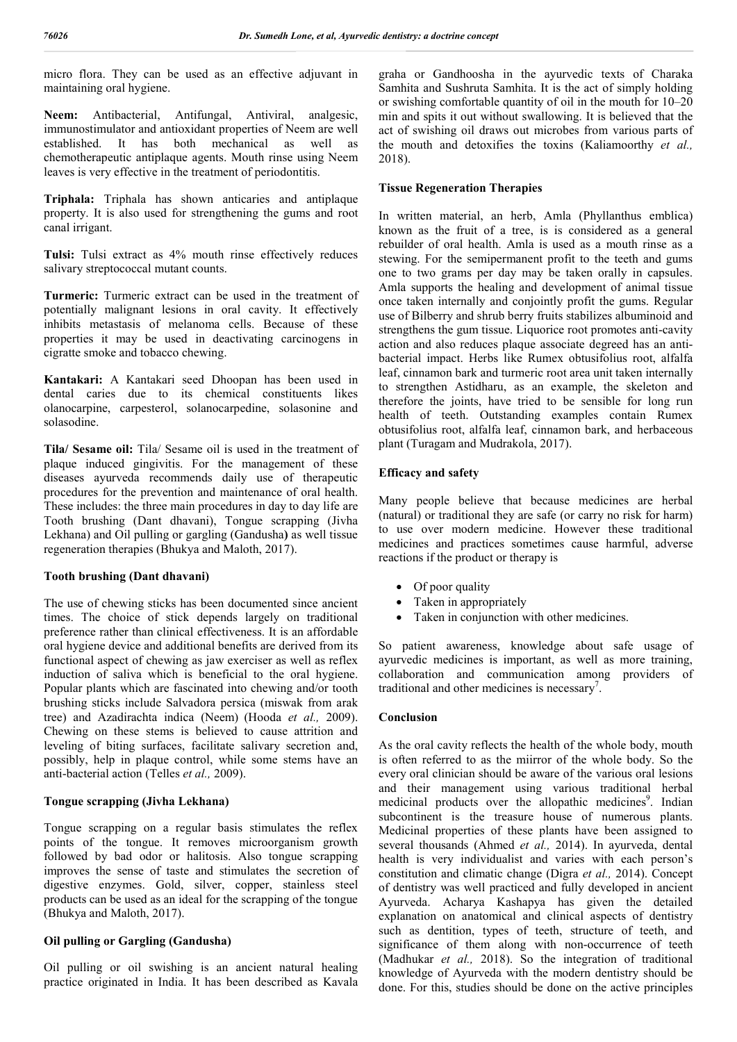micro flora. They can be used as an effective adjuvant in maintaining oral hygiene.

**Neem:** Antibacterial, Antifungal, Antiviral, analgesic, immunostimulator and antioxidant properties of Neem are well established. It has both mechanical as well as chemotherapeutic antiplaque agents. Mouth rinse using Neem leaves is very effective in the treatment of periodontitis.

**Triphala:** Triphala has shown anticaries and antiplaque property. It is also used for strengthening the gums and root canal irrigant.

**Tulsi:** Tulsi extract as 4% mouth rinse effectively reduces salivary streptococcal mutant counts.

**Turmeric:** Turmeric extract can be used in the treatment of potentially malignant lesions in oral cavity. It effectively inhibits metastasis of melanoma cells. Because of these properties it may be used in deactivating carcinogens in cigratte smoke and tobacco chewing.

**Kantakari:** A Kantakari seed Dhoopan has been used in dental caries due to its chemical constituents likes olanocarpine, carpesterol, solanocarpedine, solasonine and solasodine.

**Tila/ Sesame oil:** Tila/ Sesame oil is used in the treatment of plaque induced gingivitis. For the management of these diseases ayurveda recommends daily use of therapeutic procedures for the prevention and maintenance of oral health. These includes: the three main procedures in day to day life are Tooth brushing (Dant dhavani), Tongue scrapping (Jivha Lekhana) and Oil pulling or gargling (Gandusha**)** as well tissue regeneration therapies (Bhukya and Maloth, 2017).

## **Tooth brushing (Dant dhavani)**

The use of chewing sticks has been documented since ancient times. The choice of stick depends largely on traditional preference rather than clinical effectiveness. It is an affordable oral hygiene device and additional benefits are derived from its functional aspect of chewing as jaw exerciser as well as reflex induction of saliva which is beneficial to the oral hygiene. Popular plants which are fascinated into chewing and/or tooth brushing sticks include Salvadora persica (miswak from arak tree) and Azadirachta indica (Neem) (Hooda *et al.,* 2009). Chewing on these stems is believed to cause attrition and leveling of biting surfaces, facilitate salivary secretion and, possibly, help in plaque control, while some stems have an anti-bacterial action (Telles *et al.,* 2009).

#### **Tongue scrapping (Jivha Lekhana)**

Tongue scrapping on a regular basis stimulates the reflex points of the tongue. It removes microorganism growth followed by bad odor or halitosis. Also tongue scrapping improves the sense of taste and stimulates the secretion of digestive enzymes. Gold, silver, copper, stainless steel products can be used as an ideal for the scrapping of the tongue (Bhukya and Maloth, 2017).

## **Oil pulling or Gargling (Gandusha)**

Oil pulling or oil swishing is an ancient natural healing practice originated in India. It has been described as Kavala graha or Gandhoosha in the ayurvedic texts of Charaka Samhita and Sushruta Samhita. It is the act of simply holding or swishing comfortable quantity of oil in the mouth for 10–20 min and spits it out without swallowing. It is believed that the act of swishing oil draws out microbes from various parts of the mouth and detoxifies the toxins (Kaliamoorthy *et al.,*  2018).

## **Tissue Regeneration Therapies**

In written material, an herb, Amla (Phyllanthus emblica) known as the fruit of a tree, is is considered as a general rebuilder of oral health. Amla is used as a mouth rinse as a stewing. For the semipermanent profit to the teeth and gums one to two grams per day may be taken orally in capsules. Amla supports the healing and development of animal tissue once taken internally and conjointly profit the gums. Regular use of Bilberry and shrub berry fruits stabilizes albuminoid and strengthens the gum tissue. Liquorice root promotes anti-cavity action and also reduces plaque associate degreed has an antibacterial impact. Herbs like Rumex obtusifolius root, alfalfa leaf, cinnamon bark and turmeric root area unit taken internally to strengthen Astidharu, as an example, the skeleton and therefore the joints, have tried to be sensible for long run health of teeth. Outstanding examples contain Rumex obtusifolius root, alfalfa leaf, cinnamon bark, and herbaceous plant (Turagam and Mudrakola, 2017).

## **Efficacy and safety**

Many people believe that because medicines are herbal (natural) or traditional they are safe (or carry no risk for harm) to use over modern medicine. However these traditional medicines and practices sometimes cause harmful, adverse reactions if the product or therapy is

- Of poor quality
- Taken in appropriately
- Taken in conjunction with other medicines.

So patient awareness, knowledge about safe usage of ayurvedic medicines is important, as well as more training, collaboration and communication among providers of traditional and other medicines is necessary<sup>7</sup>.

#### **Conclusion**

As the oral cavity reflects the health of the whole body, mouth is often referred to as the miirror of the whole body. So the every oral clinician should be aware of the various oral lesions and their management using various traditional herbal medicinal products over the allopathic medicines<sup>9</sup>. Indian subcontinent is the treasure house of numerous plants. Medicinal properties of these plants have been assigned to several thousands (Ahmed *et al.,* 2014). In ayurveda, dental health is very individualist and varies with each person's constitution and climatic change (Digra *et al.,* 2014). Concept of dentistry was well practiced and fully developed in ancient Ayurveda. Acharya Kashapya has given the detailed explanation on anatomical and clinical aspects of dentistry such as dentition, types of teeth, structure of teeth, and significance of them along with non-occurrence of teeth (Madhukar *et al.,* 2018). So the integration of traditional knowledge of Ayurveda with the modern dentistry should be done. For this, studies should be done on the active principles